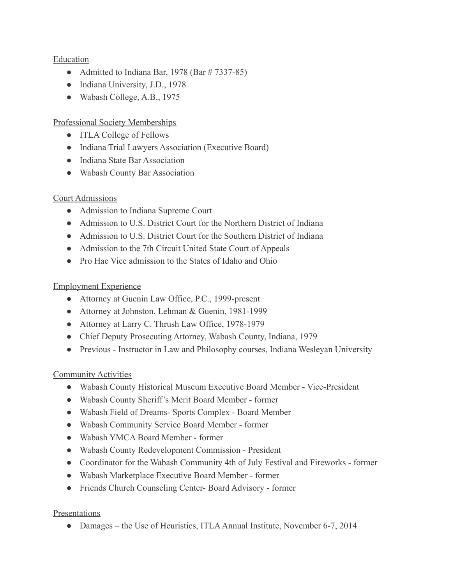#### Education

- Admitted to Indiana Bar, 1978 (Bar  $\#$  7337-85)
- Indiana University, J.D., 1978
- Wabash College, A.B., 1975

### Professional Society Memberships

- ITLA College of Fellows
- Indiana Trial Lawyers Association (Executive Board)
- Indiana State Bar Association
- Wabash County Bar Association

### Court Admissions

- Admission to Indiana Supreme Court
- Admission to U.S. District Court for the Northern District of Indiana
- Admission to U.S. District Court for the Southern District of Indiana
- Admission to the 7th Circuit United State Court of Appeals
- Pro Hac Vice admission to the States of Idaho and Ohio

#### Employment Experience

- Attorney at Guenin Law Office, P.C., 1999-present
- Attorney at Johnston, Lehman & Guenin, 1981-1999
- Attorney at Larry C. Thrush Law Office, 1978-1979
- Chief Deputy Prosecuting Attorney, Wabash County, Indiana, 1979
- Previous Instructor in Law and Philosophy courses, Indiana Wesleyan University

### Community Activities

- Wabash County Historical Museum Executive Board Member Vice-President
- Wabash County Sheriff's Merit Board Member former
- Wabash Field of Dreams- Sports Complex Board Member
- Wabash Community Service Board Member former
- Wabash YMCA Board Member former
- Wabash County Redevelopment Commission President
- Coordinator for the Wabash Community 4th of July Festival and Fireworks former
- Wabash Marketplace Executive Board Member former
- Friends Church Counseling Center- Board Advisory former

### Presentations

• Damages – the Use of Heuristics, ITLA Annual Institute, November 6-7, 2014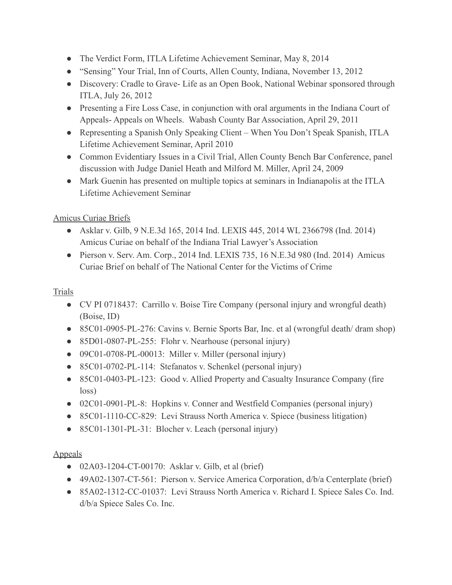- The Verdict Form, ITLA Lifetime Achievement Seminar, May 8, 2014
- "Sensing" Your Trial, Inn of Courts, Allen County, Indiana, November 13, 2012
- Discovery: Cradle to Grave- Life as an Open Book, National Webinar sponsored through ITLA, July 26, 2012
- Presenting a Fire Loss Case, in conjunction with oral arguments in the Indiana Court of Appeals- Appeals on Wheels. Wabash County Bar Association, April 29, 2011
- Representing a Spanish Only Speaking Client When You Don't Speak Spanish, ITLA Lifetime Achievement Seminar, April 2010
- Common Evidentiary Issues in a Civil Trial, Allen County Bench Bar Conference, panel discussion with Judge Daniel Heath and Milford M. Miller, April 24, 2009
- Mark Guenin has presented on multiple topics at seminars in Indianapolis at the ITLA Lifetime Achievement Seminar

# Amicus Curiae Briefs

- Asklar v. Gilb, 9 N.E.3d 165, 2014 Ind. LEXIS 445, 2014 WL 2366798 (Ind. 2014) Amicus Curiae on behalf of the Indiana Trial Lawyer's Association
- Pierson v. Serv. Am. Corp., 2014 Ind. LEXIS 735, 16 N.E.3d 980 (Ind. 2014) Amicus Curiae Brief on behalf of The National Center for the Victims of Crime

# Trials

- CV PI 0718437: Carrillo v. Boise Tire Company (personal injury and wrongful death) (Boise, ID)
- 85C01-0905-PL-276: Cavins v. Bernie Sports Bar, Inc. et al (wrongful death/ dram shop)
- 85D01-0807-PL-255: Flohr v. Nearhouse (personal injury)
- 09C01-0708-PL-00013: Miller v. Miller (personal injury)
- 85C01-0702-PL-114: Stefanatos v. Schenkel (personal injury)
- 85C01-0403-PL-123: Good v. Allied Property and Casualty Insurance Company (fire loss)
- 02C01-0901-PL-8: Hopkins v. Conner and Westfield Companies (personal injury)
- 85C01-1110-CC-829: Levi Strauss North America v. Spiece (business litigation)
- 85C01-1301-PL-31: Blocher v. Leach (personal injury)

### Appeals

- 02A03-1204-CT-00170: Asklar v. Gilb, et al (brief)
- 49A02-1307-CT-561: Pierson v. Service America Corporation, d/b/a Centerplate (brief)
- 85A02-1312-CC-01037: Levi Strauss North America v. Richard I. Spiece Sales Co. Ind. d/b/a Spiece Sales Co. Inc.